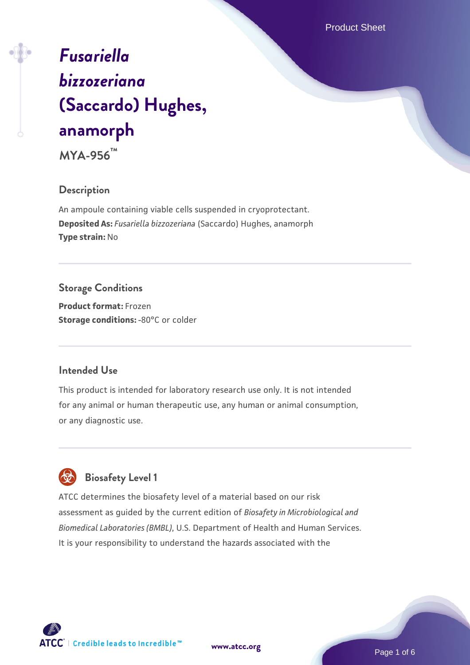Product Sheet

# *[Fusariella](https://www.atcc.org/products/mya-956) [bizzozeriana](https://www.atcc.org/products/mya-956)* **[\(Saccardo\) Hughes,](https://www.atcc.org/products/mya-956) [anamorph](https://www.atcc.org/products/mya-956)**

**MYA-956™**

#### **Description**

An ampoule containing viable cells suspended in cryoprotectant. **Deposited As:** *Fusariella bizzozeriana* (Saccardo) Hughes, anamorph **Type strain:** No

#### **Storage Conditions**

**Product format:** Frozen **Storage conditions: -80°C or colder** 

### **Intended Use**

This product is intended for laboratory research use only. It is not intended for any animal or human therapeutic use, any human or animal consumption, or any diagnostic use.



# **Biosafety Level 1**

ATCC determines the biosafety level of a material based on our risk assessment as guided by the current edition of *Biosafety in Microbiological and Biomedical Laboratories (BMBL)*, U.S. Department of Health and Human Services. It is your responsibility to understand the hazards associated with the

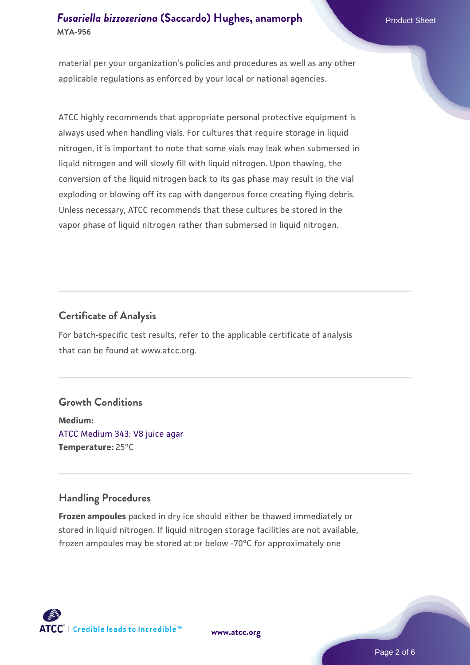#### *[Fusariella bizzozeriana](https://www.atcc.org/products/mya-956)* [\(Saccardo\) Hughes, anamorph](https://www.atcc.org/products/mya-956) Product Sheet **MYA-956**

material per your organization's policies and procedures as well as any other applicable regulations as enforced by your local or national agencies.

ATCC highly recommends that appropriate personal protective equipment is always used when handling vials. For cultures that require storage in liquid nitrogen, it is important to note that some vials may leak when submersed in liquid nitrogen and will slowly fill with liquid nitrogen. Upon thawing, the conversion of the liquid nitrogen back to its gas phase may result in the vial exploding or blowing off its cap with dangerous force creating flying debris. Unless necessary, ATCC recommends that these cultures be stored in the vapor phase of liquid nitrogen rather than submersed in liquid nitrogen.

#### **Certificate of Analysis**

For batch-specific test results, refer to the applicable certificate of analysis that can be found at www.atcc.org.

#### **Growth Conditions**

**Medium:**  [ATCC Medium 343: V8 juice agar](https://www.atcc.org/-/media/product-assets/documents/microbial-media-formulations/3/4/3/atcc-medium-0343.pdf?rev=fbf48fa24e664932828269db1822ab12) **Temperature:** 25°C

#### **Handling Procedures**

**Frozen ampoules** packed in dry ice should either be thawed immediately or stored in liquid nitrogen. If liquid nitrogen storage facilities are not available, frozen ampoules may be stored at or below -70°C for approximately one



**[www.atcc.org](http://www.atcc.org)**

Page 2 of 6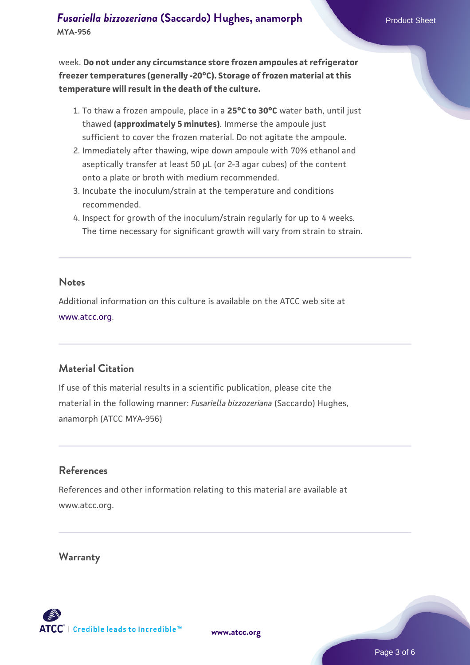week. **Do not under any circumstance store frozen ampoules at refrigerator freezer temperatures (generally -20°C). Storage of frozen material at this temperature will result in the death of the culture.**

- 1. To thaw a frozen ampoule, place in a **25°C to 30°C** water bath, until just thawed **(approximately 5 minutes)**. Immerse the ampoule just sufficient to cover the frozen material. Do not agitate the ampoule.
- 2. Immediately after thawing, wipe down ampoule with 70% ethanol and aseptically transfer at least 50 µL (or 2-3 agar cubes) of the content onto a plate or broth with medium recommended.
- Incubate the inoculum/strain at the temperature and conditions 3. recommended.
- 4. Inspect for growth of the inoculum/strain regularly for up to 4 weeks. The time necessary for significant growth will vary from strain to strain.

#### **Notes**

Additional information on this culture is available on the ATCC web site at [www.atcc.org.](http://www.atcc.org/)

#### **Material Citation**

If use of this material results in a scientific publication, please cite the material in the following manner: *Fusariella bizzozeriana* (Saccardo) Hughes, anamorph (ATCC MYA-956)

#### **References**

References and other information relating to this material are available at www.atcc.org.

#### **Warranty**



**[www.atcc.org](http://www.atcc.org)**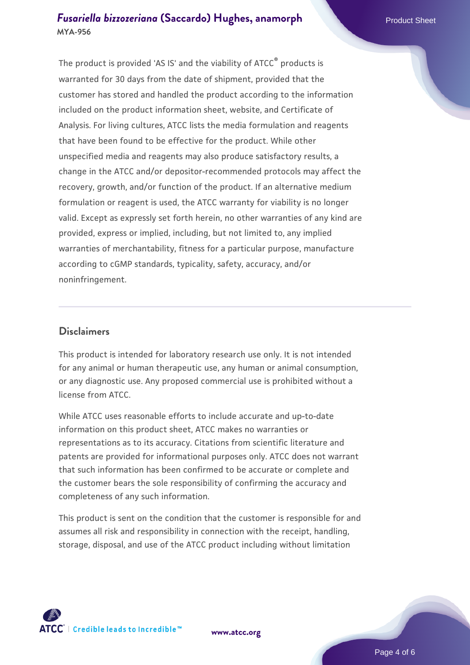#### *[Fusariella bizzozeriana](https://www.atcc.org/products/mya-956)* [\(Saccardo\) Hughes, anamorph](https://www.atcc.org/products/mya-956) Product Sheet **MYA-956**

The product is provided 'AS IS' and the viability of ATCC® products is warranted for 30 days from the date of shipment, provided that the customer has stored and handled the product according to the information included on the product information sheet, website, and Certificate of Analysis. For living cultures, ATCC lists the media formulation and reagents that have been found to be effective for the product. While other unspecified media and reagents may also produce satisfactory results, a change in the ATCC and/or depositor-recommended protocols may affect the recovery, growth, and/or function of the product. If an alternative medium formulation or reagent is used, the ATCC warranty for viability is no longer valid. Except as expressly set forth herein, no other warranties of any kind are provided, express or implied, including, but not limited to, any implied warranties of merchantability, fitness for a particular purpose, manufacture according to cGMP standards, typicality, safety, accuracy, and/or noninfringement.

#### **Disclaimers**

This product is intended for laboratory research use only. It is not intended for any animal or human therapeutic use, any human or animal consumption, or any diagnostic use. Any proposed commercial use is prohibited without a license from ATCC.

While ATCC uses reasonable efforts to include accurate and up-to-date information on this product sheet, ATCC makes no warranties or representations as to its accuracy. Citations from scientific literature and patents are provided for informational purposes only. ATCC does not warrant that such information has been confirmed to be accurate or complete and the customer bears the sole responsibility of confirming the accuracy and completeness of any such information.

This product is sent on the condition that the customer is responsible for and assumes all risk and responsibility in connection with the receipt, handling, storage, disposal, and use of the ATCC product including without limitation



**[www.atcc.org](http://www.atcc.org)**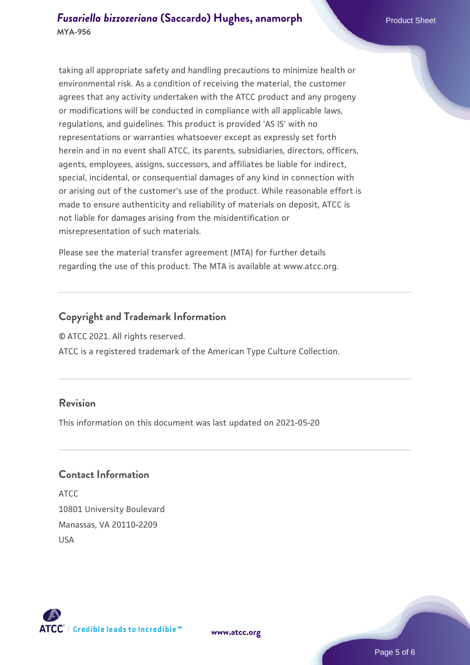taking all appropriate safety and handling precautions to minimize health or environmental risk. As a condition of receiving the material, the customer agrees that any activity undertaken with the ATCC product and any progeny or modifications will be conducted in compliance with all applicable laws, regulations, and guidelines. This product is provided 'AS IS' with no representations or warranties whatsoever except as expressly set forth herein and in no event shall ATCC, its parents, subsidiaries, directors, officers, agents, employees, assigns, successors, and affiliates be liable for indirect, special, incidental, or consequential damages of any kind in connection with or arising out of the customer's use of the product. While reasonable effort is made to ensure authenticity and reliability of materials on deposit, ATCC is not liable for damages arising from the misidentification or misrepresentation of such materials.

Please see the material transfer agreement (MTA) for further details regarding the use of this product. The MTA is available at www.atcc.org.

#### **Copyright and Trademark Information**

© ATCC 2021. All rights reserved.

ATCC is a registered trademark of the American Type Culture Collection.

#### **Revision**

This information on this document was last updated on 2021-05-20

#### **Contact Information**

ATCC 10801 University Boulevard Manassas, VA 20110-2209 USA



**[www.atcc.org](http://www.atcc.org)**